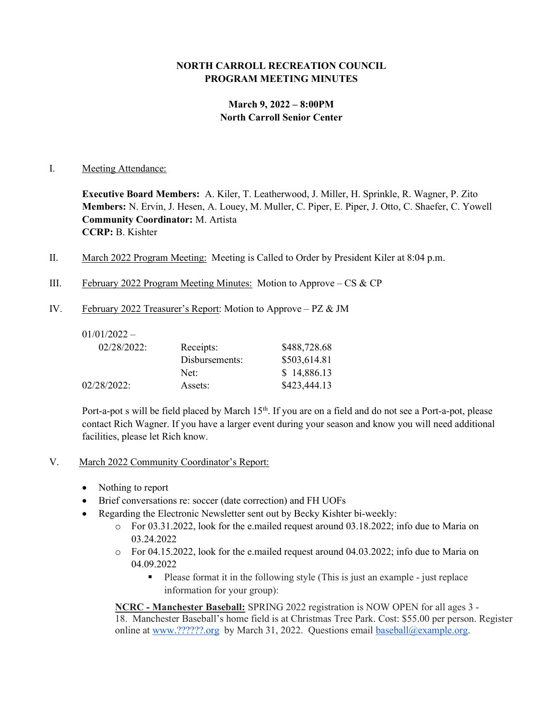# NORTH CARROLL RECREATION COUNCIL PROGRAM MEETING MINUTES

# March 9, 2022 – 8:00PM North Carroll Senior Center

### I. Meeting Attendance:

Executive Board Members: A. Kiler, T. Leatherwood, J. Miller, H. Sprinkle, R. Wagner, P. Zito Members: N. Ervin, J. Hesen, A. Louey, M. Muller, C. Piper, E. Piper, J. Otto, C. Shaefer, C. Yowell Community Coordinator: M. Artista CCRP: B. Kishter

- II. March 2022 Program Meeting: Meeting is Called to Order by President Kiler at 8:04 p.m.
- III. February 2022 Program Meeting Minutes: Motion to Approve  $CS & CP$
- IV. February 2022 Treasurer's Report: Motion to Approve PZ & JM

| $01/01/2022 -$ |                |              |
|----------------|----------------|--------------|
| $02/28/2022$ : | Receipts:      | \$488,728.68 |
|                | Disbursements: | \$503,614.81 |
|                | Net:           | \$14,886.13  |
| $02/28/2022$ : | Assets:        | \$423,444.13 |

Port-a-pot s will be field placed by March 15<sup>th</sup>. If you are on a field and do not see a Port-a-pot, please contact Rich Wagner. If you have a larger event during your season and know you will need additional facilities, please let Rich know.

- V. March 2022 Community Coordinator's Report:
	- Nothing to report
	- Brief conversations re: soccer (date correction) and FH UOFs
	- Regarding the Electronic Newsletter sent out by Becky Kishter bi-weekly:
		- $\circ$  For 03.31.2022, look for the e.mailed request around 03.18.2022; info due to Maria on 03.24.2022
		- o For 04.15.2022, look for the e.mailed request around 04.03.2022; info due to Maria on 04.09.2022
			- Please format it in the following style (This is just an example just replace information for your group):

NCRC - Manchester Baseball: SPRING 2022 registration is NOW OPEN for all ages 3 -18. Manchester Baseball's home field is at Christmas Tree Park. Cost: \$55.00 per person. Register online at www.??????.org by March 31, 2022. Questions email baseball@example.org.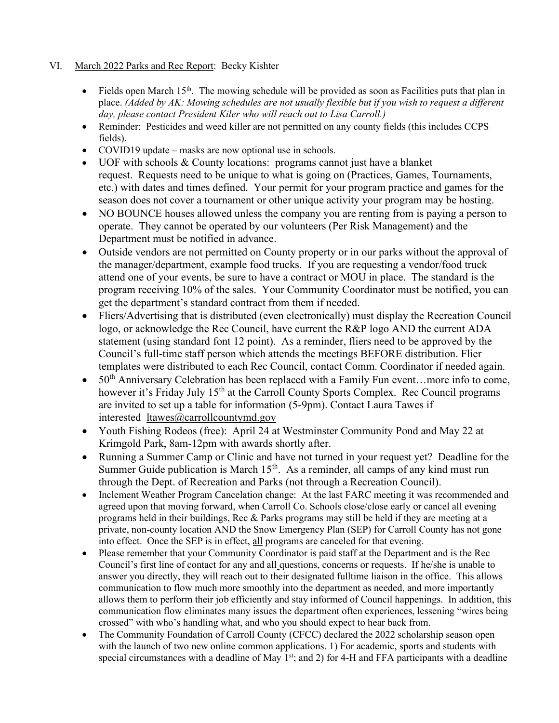# VI. March 2022 Parks and Rec Report: Becky Kishter

- Fields open March 15<sup>th</sup>. The mowing schedule will be provided as soon as Facilities puts that plan in place. (Added by AK: Mowing schedules are not usually flexible but if you wish to request a different day, please contact President Kiler who will reach out to Lisa Carroll.)
- Reminder: Pesticides and weed killer are not permitted on any county fields (this includes CCPS fields).
- COVID19 update masks are now optional use in schools.
- UOF with schools & County locations: programs cannot just have a blanket request. Requests need to be unique to what is going on (Practices, Games, Tournaments, etc.) with dates and times defined. Your permit for your program practice and games for the season does not cover a tournament or other unique activity your program may be hosting.
- NO BOUNCE houses allowed unless the company you are renting from is paying a person to operate. They cannot be operated by our volunteers (Per Risk Management) and the Department must be notified in advance.
- Outside vendors are not permitted on County property or in our parks without the approval of the manager/department, example food trucks. If you are requesting a vendor/food truck attend one of your events, be sure to have a contract or MOU in place. The standard is the program receiving 10% of the sales. Your Community Coordinator must be notified, you can get the department's standard contract from them if needed.
- Fliers/Advertising that is distributed (even electronically) must display the Recreation Council logo, or acknowledge the Rec Council, have current the R&P logo AND the current ADA statement (using standard font 12 point). As a reminder, fliers need to be approved by the Council's full-time staff person which attends the meetings BEFORE distribution. Flier templates were distributed to each Rec Council, contact Comm. Coordinator if needed again.
- $\bullet$  50<sup>th</sup> Anniversary Celebration has been replaced with a Family Fun event...more info to come, however it's Friday July 15<sup>th</sup> at the Carroll County Sports Complex. Rec Council programs are invited to set up a table for information (5-9pm). Contact Laura Tawes if interested ltawes@carrollcountymd.gov
- Youth Fishing Rodeos (free): April 24 at Westminster Community Pond and May 22 at Krimgold Park, 8am-12pm with awards shortly after.
- Running a Summer Camp or Clinic and have not turned in your request yet? Deadline for the Summer Guide publication is March  $15<sup>th</sup>$ . As a reminder, all camps of any kind must run through the Dept. of Recreation and Parks (not through a Recreation Council).
- Inclement Weather Program Cancelation change: At the last FARC meeting it was recommended and agreed upon that moving forward, when Carroll Co. Schools close/close early or cancel all evening programs held in their buildings, Rec & Parks programs may still be held if they are meeting at a private, non-county location AND the Snow Emergency Plan (SEP) for Carroll County has not gone into effect. Once the SEP is in effect, all programs are canceled for that evening.
- Please remember that your Community Coordinator is paid staff at the Department and is the Rec Council's first line of contact for any and all questions, concerns or requests. If he/she is unable to answer you directly, they will reach out to their designated fulltime liaison in the office. This allows communication to flow much more smoothly into the department as needed, and more importantly allows them to perform their job efficiently and stay informed of Council happenings. In addition, this communication flow eliminates many issues the department often experiences, lessening "wires being crossed" with who's handling what, and who you should expect to hear back from.
- The Community Foundation of Carroll County (CFCC) declared the 2022 scholarship season open with the launch of two new online common applications. 1) For academic, sports and students with special circumstances with a deadline of May 1<sup>st</sup>; and 2) for 4-H and FFA participants with a deadline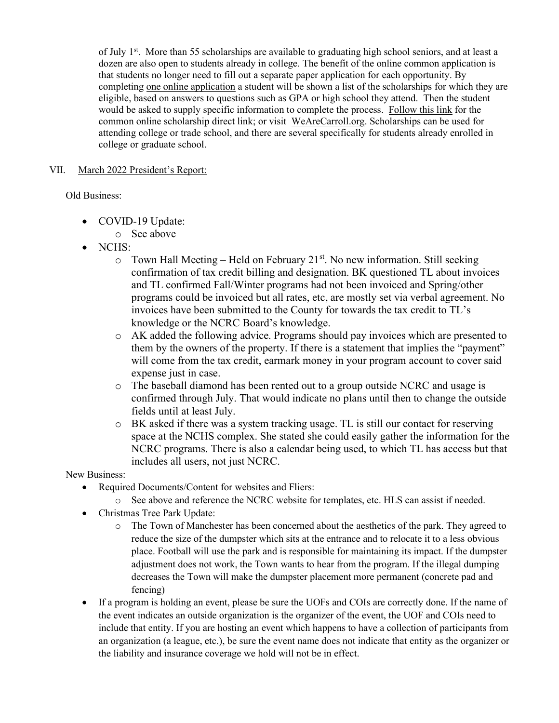of July  $1<sup>st</sup>$ . More than 55 scholarships are available to graduating high school seniors, and at least a dozen are also open to students already in college. The benefit of the online common application is that students no longer need to fill out a separate paper application for each opportunity. By completing one online application a student will be shown a list of the scholarships for which they are eligible, based on answers to questions such as GPA or high school they attend. Then the student would be asked to supply specific information to complete the process. Follow this link for the common online scholarship direct link; or visit WeAreCarroll.org. Scholarships can be used for attending college or trade school, and there are several specifically for students already enrolled in college or graduate school.

### VII. March 2022 President's Report:

Old Business:

- COVID-19 Update:
	- o See above
- NCHS:
	- $\circ$  Town Hall Meeting Held on February 21<sup>st</sup>. No new information. Still seeking confirmation of tax credit billing and designation. BK questioned TL about invoices and TL confirmed Fall/Winter programs had not been invoiced and Spring/other programs could be invoiced but all rates, etc, are mostly set via verbal agreement. No invoices have been submitted to the County for towards the tax credit to TL's knowledge or the NCRC Board's knowledge.
	- o AK added the following advice. Programs should pay invoices which are presented to them by the owners of the property. If there is a statement that implies the "payment" will come from the tax credit, earmark money in your program account to cover said expense just in case.
	- o The baseball diamond has been rented out to a group outside NCRC and usage is confirmed through July. That would indicate no plans until then to change the outside fields until at least July.
	- o BK asked if there was a system tracking usage. TL is still our contact for reserving space at the NCHS complex. She stated she could easily gather the information for the NCRC programs. There is also a calendar being used, to which TL has access but that includes all users, not just NCRC.

New Business:

- Required Documents/Content for websites and Fliers:
	- o See above and reference the NCRC website for templates, etc. HLS can assist if needed.
- Christmas Tree Park Update:
	- o The Town of Manchester has been concerned about the aesthetics of the park. They agreed to reduce the size of the dumpster which sits at the entrance and to relocate it to a less obvious place. Football will use the park and is responsible for maintaining its impact. If the dumpster adjustment does not work, the Town wants to hear from the program. If the illegal dumping decreases the Town will make the dumpster placement more permanent (concrete pad and fencing)
- If a program is holding an event, please be sure the UOFs and COIs are correctly done. If the name of the event indicates an outside organization is the organizer of the event, the UOF and COIs need to include that entity. If you are hosting an event which happens to have a collection of participants from an organization (a league, etc.), be sure the event name does not indicate that entity as the organizer or the liability and insurance coverage we hold will not be in effect.